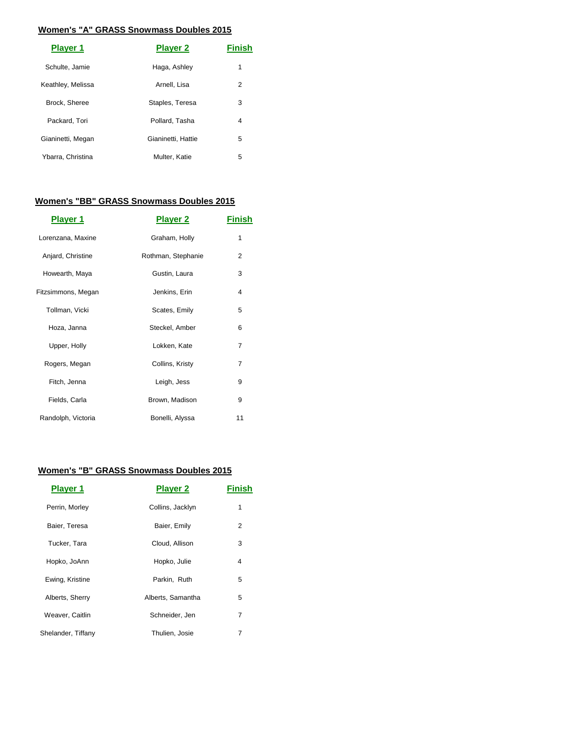#### **Women's "A" GRASS Snowmass Doubles 2015**

| <b>Player 1</b>   | <b>Player 2</b>    | Finish |
|-------------------|--------------------|--------|
| Schulte, Jamie    | Haga, Ashley       | 1      |
| Keathley, Melissa | Arnell, Lisa       | 2      |
| Brock, Sheree     | Staples, Teresa    | 3      |
| Packard, Tori     | Pollard, Tasha     | 4      |
| Gianinetti, Megan | Gianinetti, Hattie | 5      |
| Ybarra, Christina | Multer, Katie      | 5      |

### **Women's "BB" GRASS Snowmass Doubles 2015**

| <b>Player 1</b>    | <b>Player 2</b>    | Finish |
|--------------------|--------------------|--------|
| Lorenzana, Maxine  | Graham, Holly      | 1      |
| Anjard, Christine  | Rothman, Stephanie | 2      |
| Howearth, Maya     | Gustin, Laura      | 3      |
| Fitzsimmons, Megan | Jenkins, Erin      | 4      |
| Tollman, Vicki     | Scates, Emily      | 5      |
| Hoza, Janna        | Steckel, Amber     | 6      |
| Upper, Holly       | Lokken, Kate       | 7      |
| Rogers, Megan      | Collins, Kristy    | 7      |
| Fitch, Jenna       | Leigh, Jess        | 9      |
| Fields, Carla      | Brown, Madison     | 9      |
| Randolph, Victoria | Bonelli, Alyssa    | 11     |

# **Women's "B" GRASS Snowmass Doubles 2015**

| <b>Player 1</b>    | <b>Player 2</b>   | Finish |
|--------------------|-------------------|--------|
| Perrin, Morley     | Collins, Jacklyn  | 1      |
| Baier, Teresa      | Baier, Emily      | 2      |
| Tucker, Tara       | Cloud, Allison    | 3      |
| Hopko, JoAnn       | Hopko, Julie      | 4      |
| Ewing, Kristine    | Parkin, Ruth      | 5      |
| Alberts, Sherry    | Alberts, Samantha | 5      |
| Weaver, Caitlin    | Schneider, Jen    | 7      |
| Shelander, Tiffany | Thulien, Josie    | 7      |